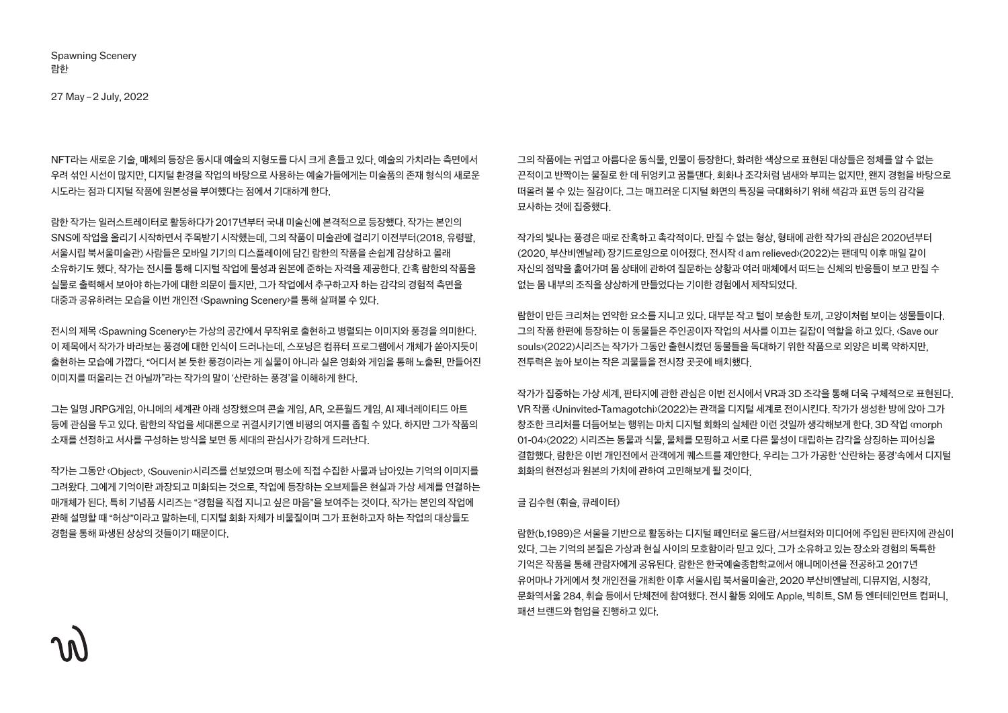Spawning Scenery 람한

NFT라는 새로운 기술, 매체의 등장은 동시대 예술의 지형도를 다시 크게 흔들고 있다. 예술의 가치라는 측면에서 우려 섞인 시선이 많지만, 디지털 환경을 작업의 바탕으로 사용하는 예술가들에게는 미술품의 존재 형식의 새로운 시도라는 점과 디지털 작품에 원본성을 부여했다는 점에서 기대하게 한다.

람한 작가는 일러스트레이터로 활동하다가 2017년부터 국내 미술신에 본격적으로 등장했다. 작가는 본인의 SNS에 작업을 올리기 시작하면서 주목받기 시작했는데, 그의 작품이 미술관에 걸리기 이전부터(2018, 유령팔, 서울시립 북서울미술관) 사람들은 모바일 기기의 디스플레이에 담긴 람한의 작품을 손쉽게 감상하고 몰래 소유하기도 했다. 작가는 전시를 통해 디지털 작업에 물성과 원본에 준하는 자격을 제공한다. 간혹 람한의 작품을 실물로 출력해서 보아야 하는가에 대한 의문이 들지만, 그가 작업에서 추구하고자 하는 감각의 경험적 측면을 대중과 공유하려는 모습을 이번 개인전 ‹Spawning Scenery›를 통해 살펴볼 수 있다.

전시의 제목 ‹Spawning Scenery›는 가상의 공간에서 무작위로 출현하고 병렬되는 이미지와 풍경을 의미한다. 이 제목에서 작가가 바라보는 풍경에 대한 인식이 드러나는데, 스포닝은 컴퓨터 프로그램에서 개체가 쏟아지듯이 출현하는 모습에 가깝다. "어디서 본 듯한 풍경이라는 게 실물이 아니라 실은 영화와 게임을 통해 노출된, 만들어진 이미지를 떠올리는 건 아닐까"라는 작가의 말이 '산란하는 풍경'을 이해하게 한다.

그는 일명 JRPG게임, 아니메의 세계관 아래 성장했으며 콘솔 게임, AR, 오픈월드 게임, AI 제너레이티드 아트 등에 관심을 두고 있다. 람한의 작업을 세대론으로 귀결시키기엔 비평의 여지를 좁힐 수 있다. 하지만 그가 작품의 소재를 선정하고 서사를 구성하는 방식을 보면 동 세대의 관심사가 강하게 드러난다.

작가는 그동안 ‹Object›, ‹Souvenir›시리즈를 선보였으며 평소에 직접 수집한 사물과 남아있는 기억의 이미지를 그려왔다. 그에게 기억이란 과장되고 미화되는 것으로, 작업에 등장하는 오브제들은 현실과 가상 세계를 연결하는 매개체가 된다. 특히 기념품 시리즈는 "경험을 직접 지니고 싶은 마음"을 보여주는 것이다. 작가는 본인의 작업에 관해 설명할 때 "허상"이라고 말하는데, 디지털 회화 자체가 비물질이며 그가 표현하고자 하는 작업의 대상들도 경험을 통해 파생된 상상의 것들이기 때문이다.

그의 작품에는 귀엽고 아름다운 동식물, 인물이 등장한다. 화려한 색상으로 표현된 대상들은 정체를 알 수 없는 끈적이고 반짝이는 물질로 한 데 뒤엉키고 꿈틀댄다. 회화나 조각처럼 냄새와 부피는 없지만, 왠지 경험을 바탕으로 떠올려 볼 수 있는 질감이다. 그는 매끄러운 디지털 화면의 특징을 극대화하기 위해 색감과 표면 등의 감각을 묘사하는 것에 집중했다.

작가의 빛나는 풍경은 때로 잔혹하고 촉각적이다. 만질 수 없는 형상, 형태에 관한 작가의 관심은 2020년부터 (2020, 부산비엔날레) 장기드로잉으로 이어졌다. 전시작 ‹I am relieved›(2022)는 팬데믹 이후 매일 같이 자신의 점막을 훑어가며 몸 상태에 관하여 질문하는 상황과 여러 매체에서 떠드는 신체의 반응들이 보고 만질 수 없는 몸 내부의 조직을 상상하게 만들었다는 기이한 경험에서 제작되었다.

람한이 만든 크리처는 연약한 요소를 지니고 있다. 대부분 작고 털이 보송한 토끼, 고양이처럼 보이는 생물들이다. 그의 작품 한편에 등장하는 이 동물들은 주인공이자 작업의 서사를 이끄는 길잡이 역할을 하고 있다. ‹Save our souls›(2022)시리즈는 작가가 그동안 출현시켰던 동물들을 독대하기 위한 작품으로 외양은 비록 약하지만, 전투력은 높아 보이는 작은 괴물들을 전시장 곳곳에 배치했다.

작가가 집중하는 가상 세계, 판타지에 관한 관심은 이번 전시에서 VR과 3D 조각을 통해 더욱 구체적으로 표현된다. VR 작품 ‹Uninvited-Tamagotchi›(2022)는 관객을 디지털 세계로 전이시킨다. 작가가 생성한 방에 앉아 그가 창조한 크리처를 더듬어보는 행위는 마치 디지털 회화의 실체란 이런 것일까 생각해보게 한다. 3D 작업 ‹morph 01-04›(2022) 시리즈는 동물과 식물, 물체를 모핑하고 서로 다른 물성이 대립하는 감각을 상징하는 피어싱을 결합했다. 람한은 이번 개인전에서 관객에게 퀘스트를 제안한다. 우리는 그가 가공한 '산란하는 풍경'속에서 디지털 회화의 현전성과 원본의 가치에 관하여 고민해보게 될 것이다.

글 김수현 (휘슬, 큐레이터)

람한(b.1989)은 서울을 기반으로 활동하는 디지털 페인터로 올드팝/서브컬처와 미디어에 주입된 판타지에 관심이 있다. 그는 기억의 본질은 가상과 현실 사이의 모호함이라 믿고 있다. 그가 소유하고 있는 장소와 경험의 독특한 기억은 작품을 통해 관람자에게 공유된다. 람한은 한국예술종합학교에서 애니메이션을 전공하고 2017년 유어마나 가게에서 첫 개인전을 개최한 이후 서울시립 북서울미술관, 2020 부산비엔날레, 디뮤지엄, 시청각, 문화역서울 284, 휘슬 등에서 단체전에 참여했다. 전시 활동 외에도 Apple, 빅히트, SM 등 엔터테인먼트 컴퍼니, 패션 브랜드와 협업을 진행하고 있다.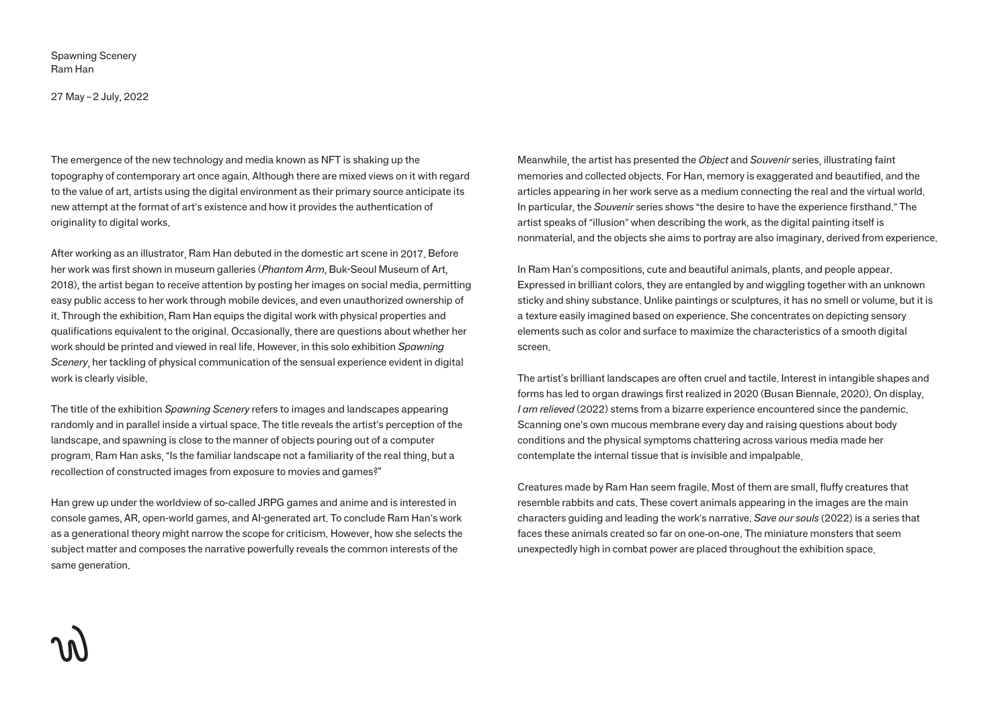Spawning Scenery Ram Han

27 May – 2 July, 2022

The emergence of the new technology and media known as NFT is shaking up the topography of contemporary art once again. Although there are mixed views on it with regard to the value of art, artists using the digital environment as their primary source anticipate its new attempt at the format of art's existence and how it provides the authentication of originality to digital works.

After working as an illustrator, Ram Han debuted in the domestic art scene in 2017. Before her work was first shown in museum galleries (*Phantom Arm*, Buk-Seoul Museum of Art, 2018), the artist began to receive attention by posting her images on social media, permitting easy public access to her work through mobile devices, and even unauthorized ownership of it. Through the exhibition, Ram Han equips the digital work with physical properties and qualifications equivalent to the original. Occasionally, there are questions about whether her work should be printed and viewed in real life. However, in this solo exhibition *Spawning Scenery*, her tackling of physical communication of the sensual experience evident in digital work is clearly visible.

The title of the exhibition *Spawning Scenery* refers to images and landscapes appearing randomly and in parallel inside a virtual space. The title reveals the artist's perception of the landscape, and spawning is close to the manner of objects pouring out of a computer program. Ram Han asks, "Is the familiar landscape not a familiarity of the real thing, but a recollection of constructed images from exposure to movies and games?"

Han grew up under the worldview of so-called JRPG games and anime and is interested in console games, AR, open-world games, and AI-generated art. To conclude Ram Han's work as a generational theory might narrow the scope for criticism. However, how she selects the subject matter and composes the narrative powerfully reveals the common interests of the same generation.

Meanwhile, the artist has presented the *Object* and *Souvenir* series, illustrating faint memories and collected objects. For Han, memory is exaggerated and beautified, and the articles appearing in her work serve as a medium connecting the real and the virtual world. In particular, the *Souvenir* series shows "the desire to have the experience firsthand." The artist speaks of "illusion" when describing the work, as the digital painting itself is nonmaterial, and the objects she aims to portray are also imaginary, derived from experience.

In Ram Han's compositions, cute and beautiful animals, plants, and people appear. Expressed in brilliant colors, they are entangled by and wiggling together with an unknown sticky and shiny substance. Unlike paintings or sculptures, it has no smell or volume, but it is a texture easily imagined based on experience. She concentrates on depicting sensory elements such as color and surface to maximize the characteristics of a smooth digital screen.

The artist's brilliant landscapes are often cruel and tactile. Interest in intangible shapes and forms has led to organ drawings first realized in 2020 (Busan Biennale, 2020). On display, *I am relieved* (2022) stems from a bizarre experience encountered since the pandemic. Scanning one's own mucous membrane every day and raising questions about body conditions and the physical symptoms chattering across various media made her contemplate the internal tissue that is invisible and impalpable.

Creatures made by Ram Han seem fragile. Most of them are small, fluffy creatures that resemble rabbits and cats. These covert animals appearing in the images are the main characters guiding and leading the work's narrative. *Save our souls* (2022) is a series that faces these animals created so far on one-on-one. The miniature monsters that seem unexpectedly high in combat power are placed throughout the exhibition space.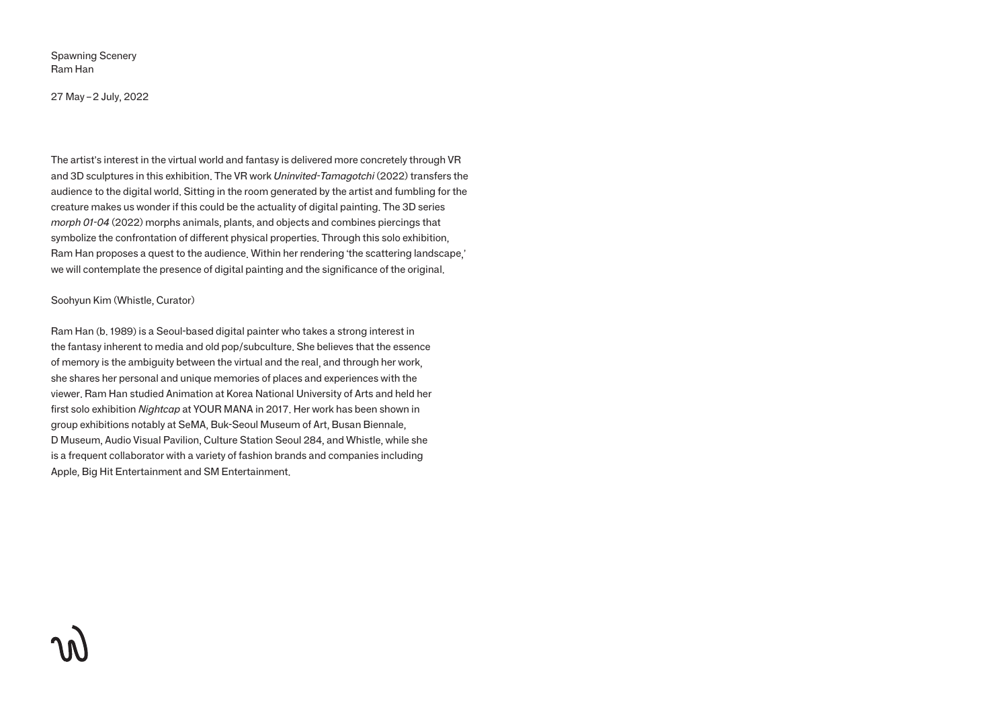Spawning Scenery Ram Han

27 May – 2 July, 2022

The artist's interest in the virtual world and fantasy is delivered more concretely through VR and 3D sculptures in this exhibition. The VR work *Uninvited-Tamagotchi* (2022) transfers the audience to the digital world. Sitting in the room generated by the artist and fumbling for the creature makes us wonder if this could be the actuality of digital painting. The 3D series *morph 01-04* (2022) morphs animals, plants, and objects and combines piercings that symbolize the confrontation of different physical properties. Through this solo exhibition, Ram Han proposes a quest to the audience. Within her rendering 'the scattering landscape,' we will contemplate the presence of digital painting and the significance of the original.

## Soohyun Kim (Whistle, Curator)

Ram Han (b. 1989) is a Seoul-based digital painter who takes a strong interest in the fantasy inherent to media and old pop/subculture. She believes that the essence of memory is the ambiguity between the virtual and the real, and through her work, she shares her personal and unique memories of places and experiences with the viewer. Ram Han studied Animation at Korea National University of Arts and held her first solo exhibition *Nightcap* at YOUR MANA in 2017. Her work has been shown in group exhibitions notably at SeMA, Buk-Seoul Museum of Art, Busan Biennale, D Museum, Audio Visual Pavilion, Culture Station Seoul 284, and Whistle, while she is a frequent collaborator with a variety of fashion brands and companies including Apple, Big Hit Entertainment and SM Entertainment.